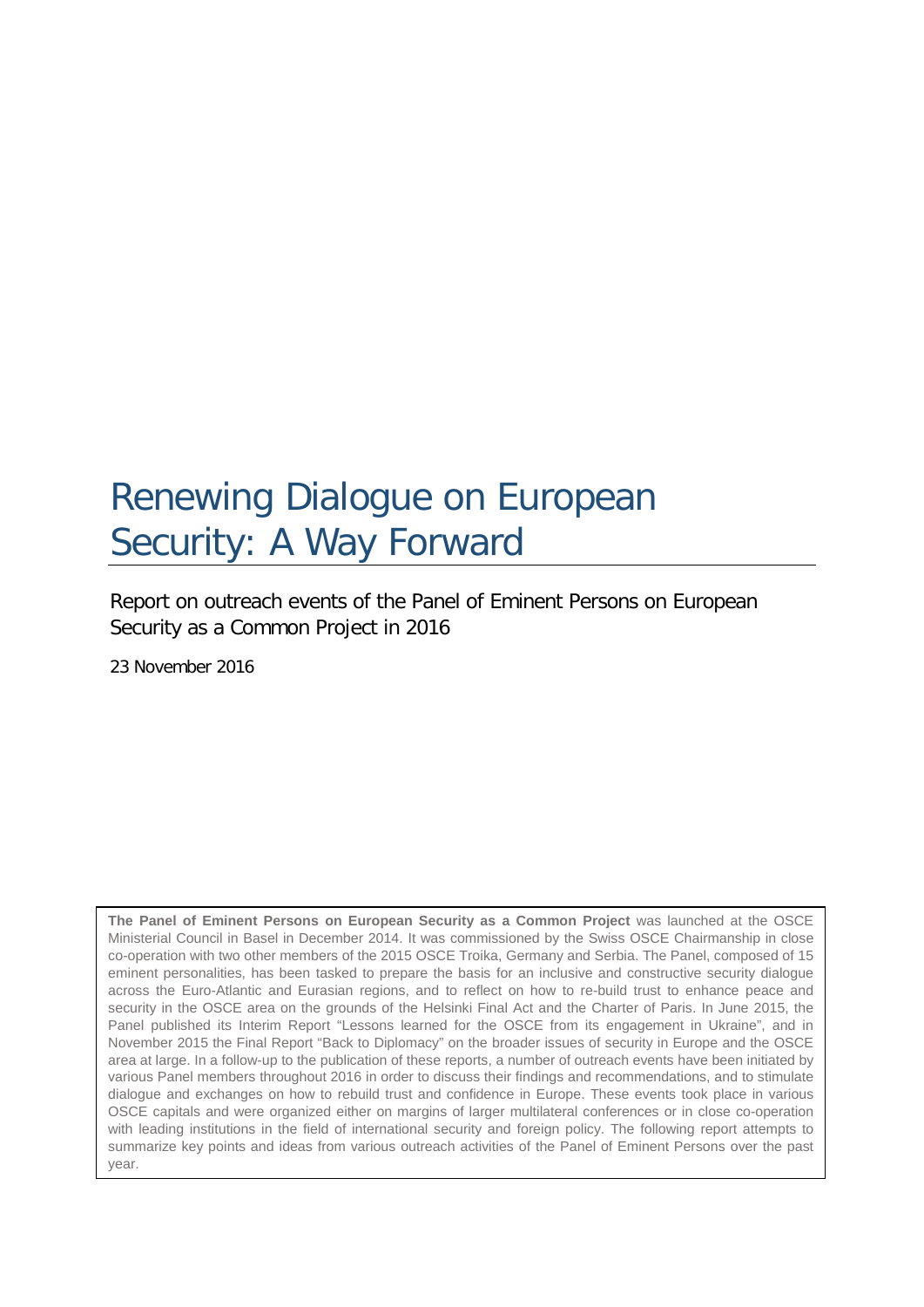# Renewing Dialogue on European Security: A Way Forward

Report on outreach events of the Panel of Eminent Persons on European Security as a Common Project in 2016

23 November 2016

**The Panel of Eminent Persons on European Security as a Common Project** was launched at the OSCE Ministerial Council in Basel in December 2014. It was commissioned by the Swiss OSCE Chairmanship in close co-operation with two other members of the 2015 OSCE Troika, Germany and Serbia. The Panel, composed of 15 eminent personalities, has been tasked to prepare the basis for an inclusive and constructive security dialogue across the Euro-Atlantic and Eurasian regions, and to reflect on how to re-build trust to enhance peace and security in the OSCE area on the grounds of the Helsinki Final Act and the Charter of Paris. In June 2015, the Panel published its Interim Report "Lessons learned for the OSCE from its engagement in Ukraine", and in November 2015 the Final Report "Back to Diplomacy" on the broader issues of security in Europe and the OSCE area at large. In a follow-up to the publication of these reports, a number of outreach events have been initiated by various Panel members throughout 2016 in order to discuss their findings and recommendations, and to stimulate dialogue and exchanges on how to rebuild trust and confidence in Europe. These events took place in various OSCE capitals and were organized either on margins of larger multilateral conferences or in close co-operation with leading institutions in the field of international security and foreign policy. The following report attempts to summarize key points and ideas from various outreach activities of the Panel of Eminent Persons over the past year.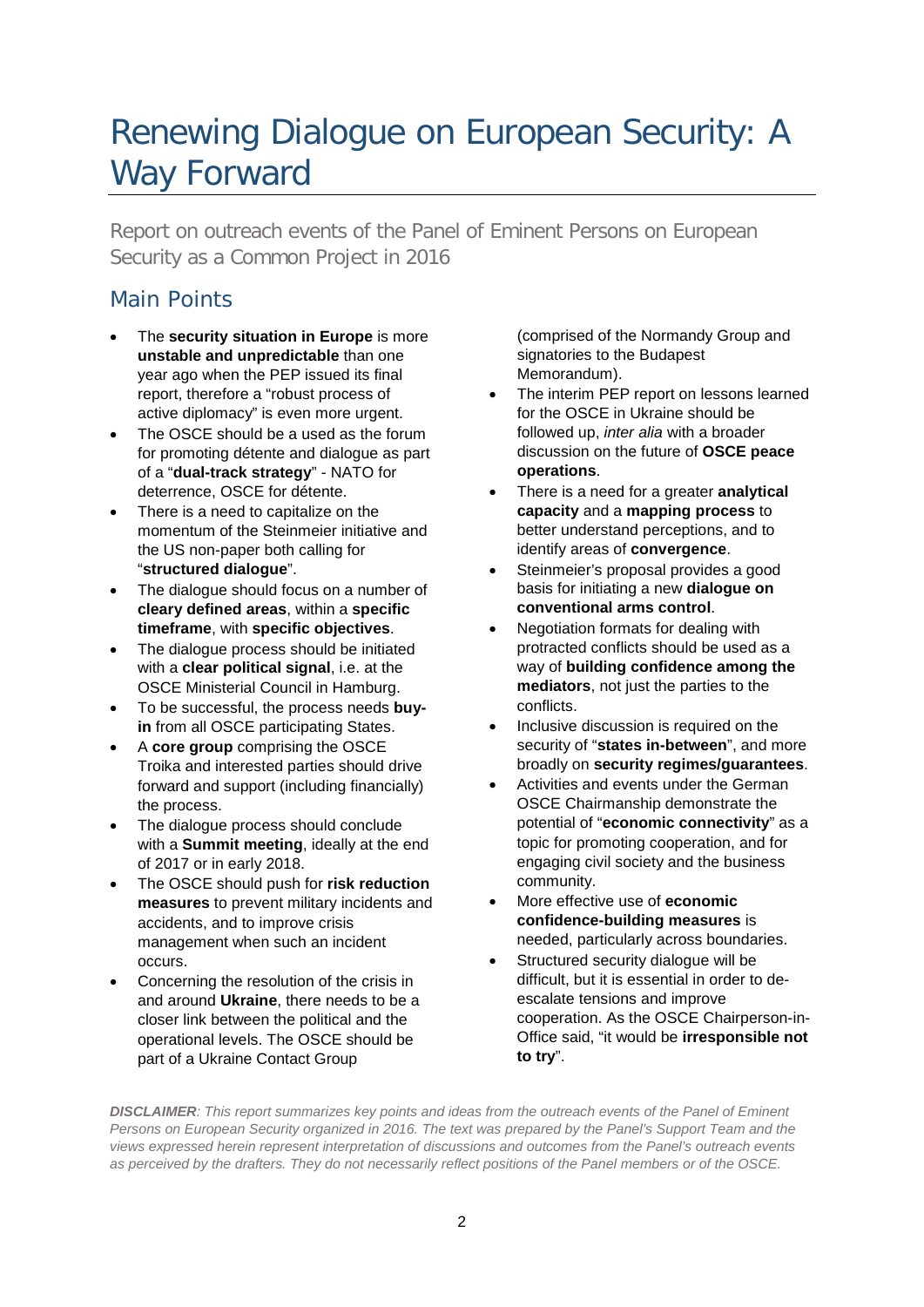# Renewing Dialogue on European Security: A Way Forward

Report on outreach events of the Panel of Eminent Persons on European Security as a Common Project in 2016

# Main Points

- The **security situation in Europe** is more **unstable and unpredictable** than one year ago when the PEP issued its final report, therefore a "robust process of active diplomacy" is even more urgent.
- The OSCE should be a used as the forum for promoting détente and dialogue as part of a "**dual-track strategy**" - NATO for deterrence, OSCE for détente.
- There is a need to capitalize on the momentum of the Steinmeier initiative and the US non-paper both calling for "**structured dialogue**".
- The dialogue should focus on a number of **cleary defined areas**, within a **specific timeframe**, with **specific objectives**.
- The dialogue process should be initiated with a **clear political signal**, i.e. at the OSCE Ministerial Council in Hamburg.
- To be successful, the process needs **buyin** from all OSCE participating States.
- A **core group** comprising the OSCE Troika and interested parties should drive forward and support (including financially) the process.
- The dialogue process should conclude with a **Summit meeting**, ideally at the end of 2017 or in early 2018.
- The OSCE should push for **risk reduction measures** to prevent military incidents and accidents, and to improve crisis management when such an incident occurs.
- Concerning the resolution of the crisis in and around **Ukraine**, there needs to be a closer link between the political and the operational levels. The OSCE should be part of a Ukraine Contact Group

(comprised of the Normandy Group and signatories to the Budapest Memorandum).

- The interim PEP report on lessons learned for the OSCE in Ukraine should be followed up, *inter alia* with a broader discussion on the future of **OSCE peace operations**.
- There is a need for a greater **analytical capacity** and a **mapping process** to better understand perceptions, and to identify areas of **convergence**.
- Steinmeier's proposal provides a good basis for initiating a new **dialogue on conventional arms control**.
- Negotiation formats for dealing with protracted conflicts should be used as a way of **building confidence among the mediators**, not just the parties to the conflicts.
- Inclusive discussion is required on the security of "**states in-between**", and more broadly on **security regimes/guarantees**.
- Activities and events under the German OSCE Chairmanship demonstrate the potential of "**economic connectivity**" as a topic for promoting cooperation, and for engaging civil society and the business community.
- More effective use of **economic confidence-building measures** is needed, particularly across boundaries.
- Structured security dialogue will be difficult, but it is essential in order to deescalate tensions and improve cooperation. As the OSCE Chairperson-in-Office said, "it would be **irresponsible not to try**".

*DISCLAIMER: This report summarizes key points and ideas from the outreach events of the Panel of Eminent Persons on European Security organized in 2016. The text was prepared by the Panel's Support Team and the views expressed herein represent interpretation of discussions and outcomes from the Panel's outreach events as perceived by the drafters. They do not necessarily reflect positions of the Panel members or of the OSCE.*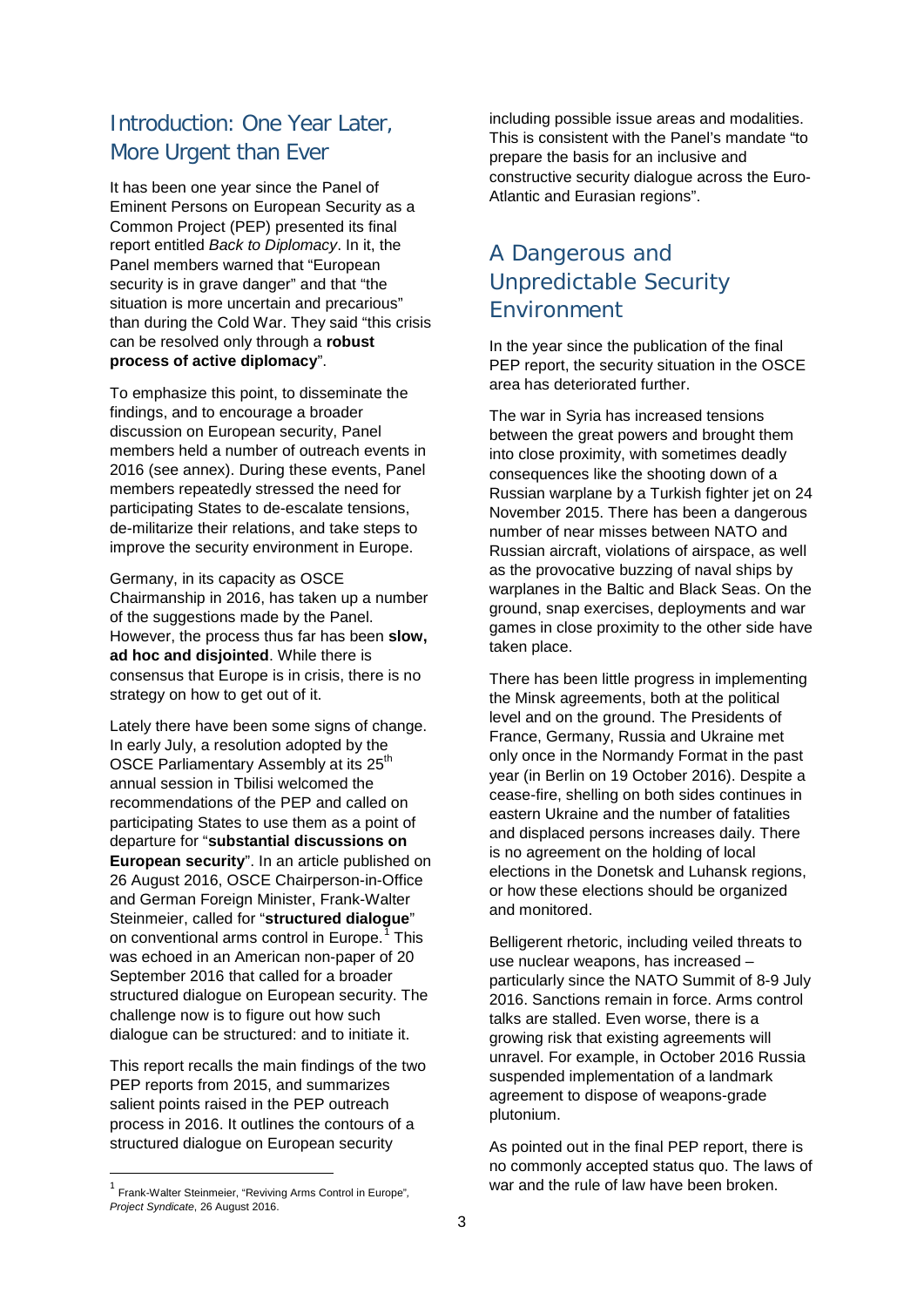### Introduction: One Year Later, More Urgent than Ever

It has been one year since the Panel of Eminent Persons on European Security as a Common Project (PEP) presented its final report entitled *Back to Diplomacy*. In it, the Panel members warned that "European security is in grave danger" and that "the situation is more uncertain and precarious" than during the Cold War. They said "this crisis can be resolved only through a **robust process of active diplomacy**".

To emphasize this point, to disseminate the findings, and to encourage a broader discussion on European security, Panel members held a number of outreach events in 2016 (see annex). During these events, Panel members repeatedly stressed the need for participating States to de-escalate tensions, de-militarize their relations, and take steps to improve the security environment in Europe.

Germany, in its capacity as OSCE Chairmanship in 2016, has taken up a number of the suggestions made by the Panel. However, the process thus far has been **slow, ad hoc and disjointed**. While there is consensus that Europe is in crisis, there is no strategy on how to get out of it.

Lately there have been some signs of change. In early July, a resolution adopted by the OSCE Parliamentary Assembly at its 25<sup>th</sup> annual session in Tbilisi welcomed the recommendations of the PEP and called on participating States to use them as a point of departure for "**substantial discussions on European security**". In an article published on 26 August 2016, OSCE Chairperson-in-Office and German Foreign Minister, Frank-Walter Steinmeier, called for "**structured dialogue**" on conventional arms control in Europe. [1](#page-2-0) This was echoed in an American non-paper of 20 September 2016 that called for a broader structured dialogue on European security. The challenge now is to figure out how such dialogue can be structured: and to initiate it.

This report recalls the main findings of the two PEP reports from 2015, and summarizes salient points raised in the PEP outreach process in 2016. It outlines the contours of a structured dialogue on European security

including possible issue areas and modalities. This is consistent with the Panel's mandate "to prepare the basis for an inclusive and constructive security dialogue across the Euro-Atlantic and Eurasian regions".

## A Dangerous and Unpredictable Security Environment

In the year since the publication of the final PEP report, the security situation in the OSCE area has deteriorated further.

The war in Syria has increased tensions between the great powers and brought them into close proximity, with sometimes deadly consequences like the shooting down of a Russian warplane by a Turkish fighter jet on 24 November 2015. There has been a dangerous number of near misses between NATO and Russian aircraft, violations of airspace, as well as the provocative buzzing of naval ships by warplanes in the Baltic and Black Seas. On the ground, snap exercises, deployments and war games in close proximity to the other side have taken place.

There has been little progress in implementing the Minsk agreements, both at the political level and on the ground. The Presidents of France, Germany, Russia and Ukraine met only once in the Normandy Format in the past year (in Berlin on 19 October 2016). Despite a cease-fire, shelling on both sides continues in eastern Ukraine and the number of fatalities and displaced persons increases daily. There is no agreement on the holding of local elections in the Donetsk and Luhansk regions, or how these elections should be organized and monitored.

Belligerent rhetoric, including veiled threats to use nuclear weapons, has increased – particularly since the NATO Summit of 8-9 July 2016. Sanctions remain in force. Arms control talks are stalled. Even worse, there is a growing risk that existing agreements will unravel. For example, in October 2016 Russia suspended implementation of a landmark agreement to dispose of weapons-grade plutonium.

As pointed out in the final PEP report, there is no commonly accepted status quo. The laws of war and the rule of law have been broken.

<span id="page-2-0"></span> <sup>1</sup> Frank-Walter Steinmeier, "Reviving Arms Control in Europe"*, Project Syndicate*, 26 August 2016.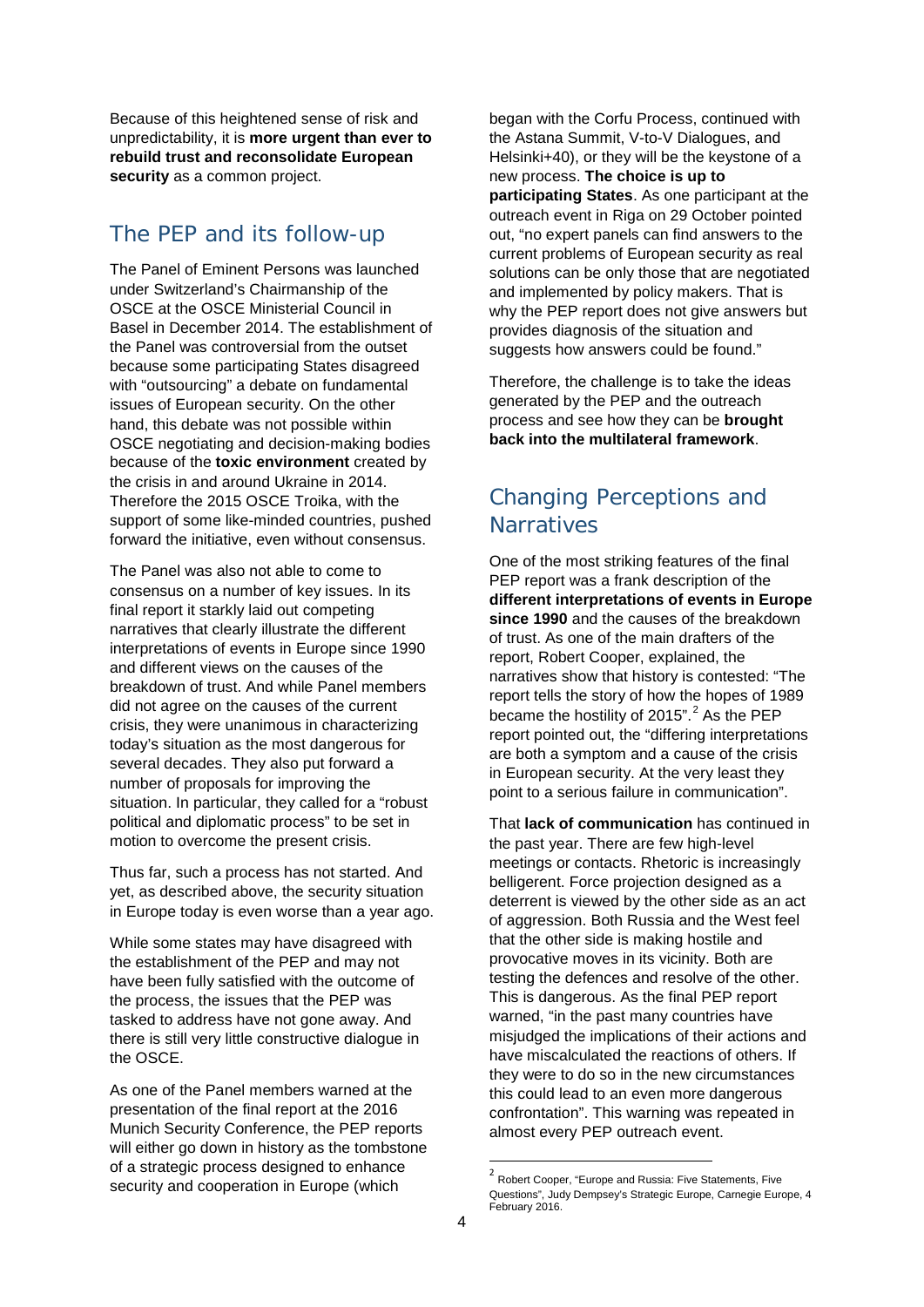Because of this heightened sense of risk and unpredictability, it is **more urgent than ever to rebuild trust and reconsolidate European security** as a common project.

#### The PEP and its follow-up

The Panel of Eminent Persons was launched under Switzerland's Chairmanship of the OSCE at the OSCE Ministerial Council in Basel in December 2014. The establishment of the Panel was controversial from the outset because some participating States disagreed with "outsourcing" a debate on fundamental issues of European security. On the other hand, this debate was not possible within OSCE negotiating and decision-making bodies because of the **toxic environment** created by the crisis in and around Ukraine in 2014. Therefore the 2015 OSCE Troika, with the support of some like-minded countries, pushed forward the initiative, even without consensus.

The Panel was also not able to come to consensus on a number of key issues. In its final report it starkly laid out competing narratives that clearly illustrate the different interpretations of events in Europe since 1990 and different views on the causes of the breakdown of trust. And while Panel members did not agree on the causes of the current crisis, they were unanimous in characterizing today's situation as the most dangerous for several decades. They also put forward a number of proposals for improving the situation. In particular, they called for a "robust political and diplomatic process" to be set in motion to overcome the present crisis.

Thus far, such a process has not started. And yet, as described above, the security situation in Europe today is even worse than a year ago.

While some states may have disagreed with the establishment of the PEP and may not have been fully satisfied with the outcome of the process, the issues that the PEP was tasked to address have not gone away. And there is still very little constructive dialogue in the OSCE.

<span id="page-3-0"></span>As one of the Panel members warned at the presentation of the final report at the 2016 Munich Security Conference, the PEP reports will either go down in history as the tombstone of a strategic process designed to enhance security and cooperation in Europe (which

began with the Corfu Process, continued with the Astana Summit, V-to-V Dialogues, and Helsinki+40), or they will be the keystone of a new process. **The choice is up to participating States**. As one participant at the outreach event in Riga on 29 October pointed out, "no expert panels can find answers to the current problems of European security as real solutions can be only those that are negotiated and implemented by policy makers. That is why the PEP report does not give answers but provides diagnosis of the situation and suggests how answers could be found."

Therefore, the challenge is to take the ideas generated by the PEP and the outreach process and see how they can be **brought back into the multilateral framework**.

## Changing Perceptions and **Narratives**

One of the most striking features of the final PEP report was a frank description of the **different interpretations of events in Europe since 1990** and the causes of the breakdown of trust. As one of the main drafters of the report, Robert Cooper, explained, the narratives show that history is contested: "The report tells the story of how the hopes of 1989 became the hostility of [2](#page-3-0)015".<sup>2</sup> As the PEP report pointed out, the "differing interpretations are both a symptom and a cause of the crisis in European security. At the very least they point to a serious failure in communication".

That **lack of communication** has continued in the past year. There are few high-level meetings or contacts. Rhetoric is increasingly belligerent. Force projection designed as a deterrent is viewed by the other side as an act of aggression. Both Russia and the West feel that the other side is making hostile and provocative moves in its vicinity. Both are testing the defences and resolve of the other. This is dangerous. As the final PEP report warned, "in the past many countries have misjudged the implications of their actions and have miscalculated the reactions of others. If they were to do so in the new circumstances this could lead to an even more dangerous confrontation". This warning was repeated in almost every PEP outreach event.

 <sup>2</sup> Robert Cooper, "Europe and Russia: Five Statements, Five Questions", Judy Dempsey's Strategic Europe, Carnegie Europe, 4 February 2016.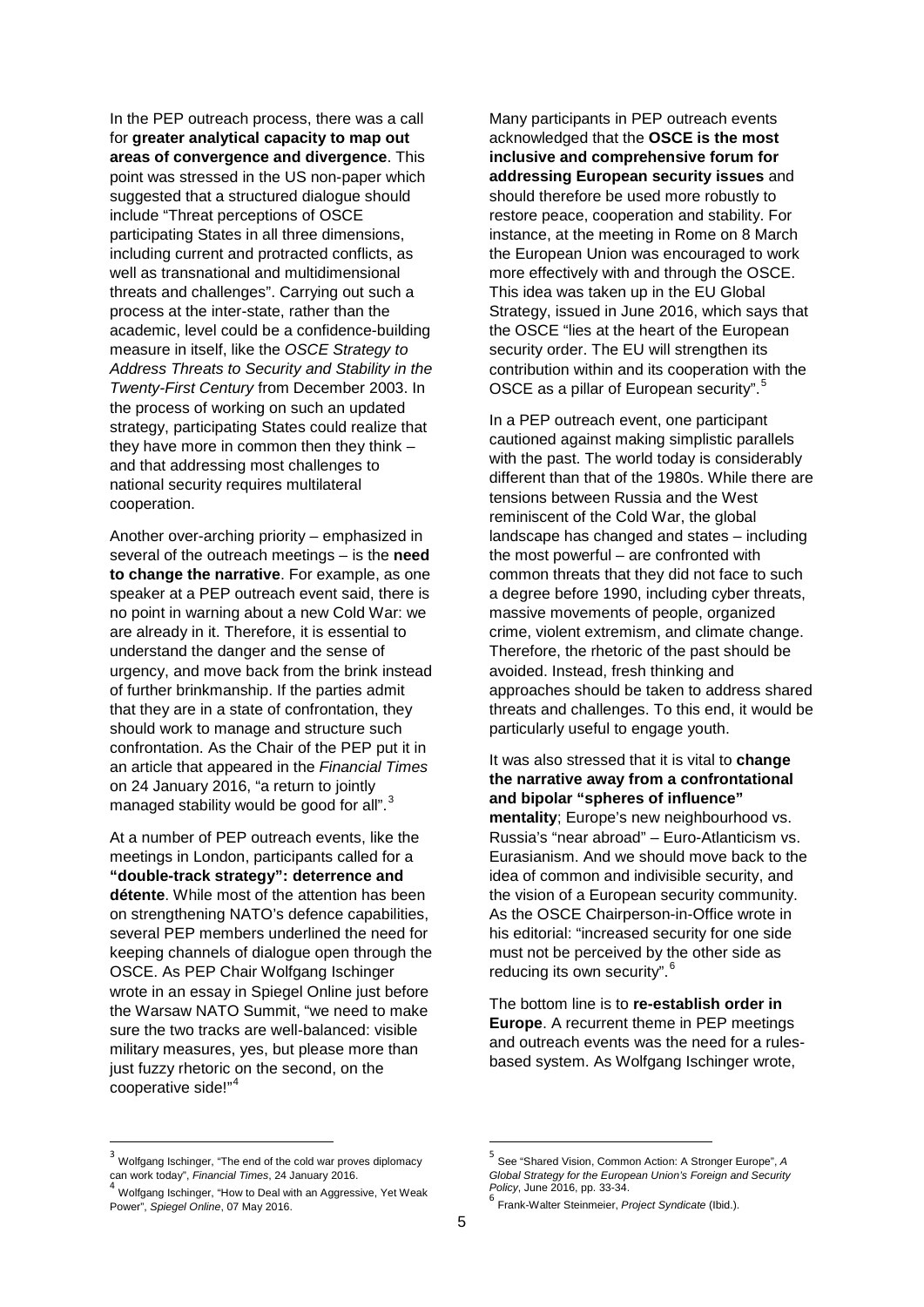In the PEP outreach process, there was a call for **greater analytical capacity to map out areas of convergence and divergence**. This point was stressed in the US non-paper which suggested that a structured dialogue should include "Threat perceptions of OSCE participating States in all three dimensions, including current and protracted conflicts, as well as transnational and multidimensional threats and challenges". Carrying out such a process at the inter-state, rather than the academic, level could be a confidence-building measure in itself, like the *OSCE Strategy to Address Threats to Security and Stability in the Twenty-First Century* from December 2003. In the process of working on such an updated strategy, participating States could realize that they have more in common then they think – and that addressing most challenges to national security requires multilateral cooperation.

Another over-arching priority – emphasized in several of the outreach meetings – is the **need to change the narrative**. For example, as one speaker at a PEP outreach event said, there is no point in warning about a new Cold War: we are already in it. Therefore, it is essential to understand the danger and the sense of urgency, and move back from the brink instead of further brinkmanship. If the parties admit that they are in a state of confrontation, they should work to manage and structure such confrontation. As the Chair of the PEP put it in an article that appeared in the *Financial Times* on 24 January 2016, "a return to jointly managed stability would be good for all".<sup>[3](#page-4-0)</sup>

At a number of PEP outreach events, like the meetings in London, participants called for a **"double-track strategy": deterrence and détente**. While most of the attention has been on strengthening NATO's defence capabilities, several PEP members underlined the need for keeping channels of dialogue open through the OSCE. As PEP Chair Wolfgang Ischinger wrote in an essay in Spiegel Online just before the Warsaw NATO Summit, "we need to make sure the two tracks are well-balanced: visible military measures, yes, but please more than just fuzzy rhetoric on the second, on the cooperative side!" [4](#page-4-1)

Many participants in PEP outreach events acknowledged that the **OSCE is the most inclusive and comprehensive forum for addressing European security issues** and should therefore be used more robustly to restore peace, cooperation and stability. For instance, at the meeting in Rome on 8 March the European Union was encouraged to work more effectively with and through the OSCE. This idea was taken up in the EU Global Strategy, issued in June 2016, which says that the OSCE "lies at the heart of the European security order. The EU will strengthen its contribution within and its cooperation with the OSCE as a pillar of European security".<sup>[5](#page-4-0)</sup>

In a PEP outreach event, one participant cautioned against making simplistic parallels with the past. The world today is considerably different than that of the 1980s. While there are tensions between Russia and the West reminiscent of the Cold War, the global landscape has changed and states – including the most powerful – are confronted with common threats that they did not face to such a degree before 1990, including cyber threats, massive movements of people, organized crime, violent extremism, and climate change. Therefore, the rhetoric of the past should be avoided. Instead, fresh thinking and approaches should be taken to address shared threats and challenges. To this end, it would be particularly useful to engage youth.

It was also stressed that it is vital to **change the narrative away from a confrontational and bipolar "spheres of influence" mentality**; Europe's new neighbourhood vs. Russia's "near abroad" – Euro-Atlanticism vs. Eurasianism. And we should move back to the idea of common and indivisible security, and the vision of a European security community. As the OSCE Chairperson-in-Office wrote in his editorial: "increased security for one side must not be perceived by the other side as reducing its own security".<sup>[6](#page-4-2)</sup>

The bottom line is to **re-establish order in Europe**. A recurrent theme in PEP meetings and outreach events was the need for a rulesbased system. As Wolfgang Ischinger wrote,

<span id="page-4-0"></span><sup>&</sup>lt;sup>3</sup> Wolfgang Ischinger, "The end of the cold war proves diplomacy can work today", *Financial Times*, 24 January 2016. <sup>4</sup> Wolfgang Ischinger, "How to Deal with an Aggressive, Yet Weak

<span id="page-4-2"></span><span id="page-4-1"></span>Power", *Spiegel Online*, 07 May 2016.

 <sup>5</sup> See "Shared Vision, Common Action: A Stronger Europe", *<sup>A</sup> Global Strategy for the European Union's Foreign and Security* 

*Prank-Walter Steinmeier, Project Syndicate* (Ibid.).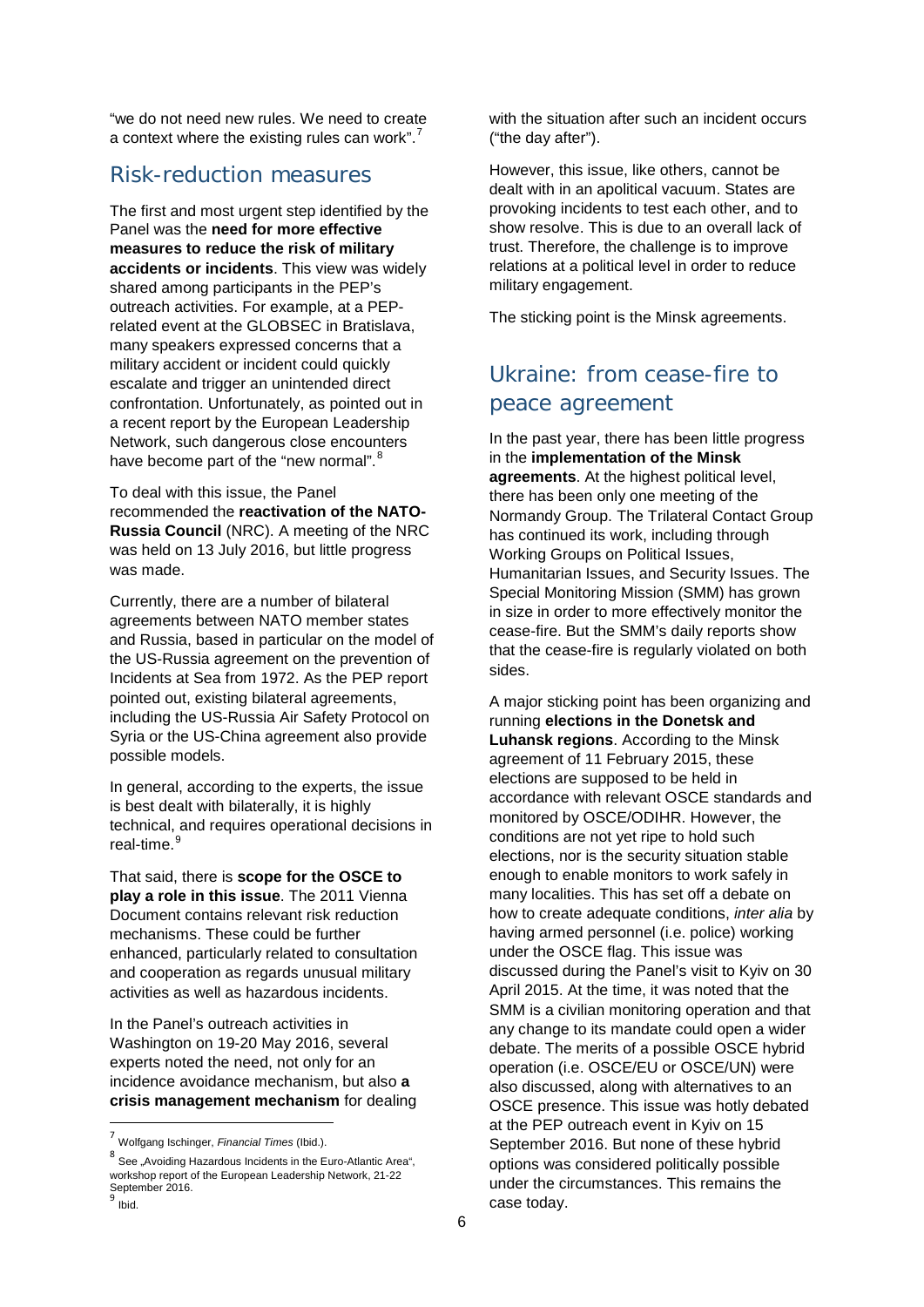"we do not need new rules. We need to create a context where the existing rules can work".<sup>[7](#page-5-0)</sup>

#### Risk-reduction measures

The first and most urgent step identified by the Panel was the **need for more effective measures to reduce the risk of military accidents or incidents**. This view was widely shared among participants in the PEP's outreach activities. For example, at a PEPrelated event at the GLOBSEC in Bratislava, many speakers expressed concerns that a military accident or incident could quickly escalate and trigger an unintended direct confrontation. Unfortunately, as pointed out in a recent report by the European Leadership Network, such dangerous close encounters have become part of the "new normal".<sup>[8](#page-5-1)</sup>

To deal with this issue, the Panel recommended the **reactivation of the NATO-Russia Council** (NRC). A meeting of the NRC was held on 13 July 2016, but little progress was made.

Currently, there are a number of bilateral agreements between NATO member states and Russia, based in particular on the model of the US-Russia agreement on the prevention of Incidents at Sea from 1972. As the PEP report pointed out, existing bilateral agreements, including the US-Russia Air Safety Protocol on Syria or the US-China agreement also provide possible models.

In general, according to the experts, the issue is best dealt with bilaterally, it is highly technical, and requires operational decisions in real-time.<sup>[9](#page-5-2)</sup>

That said, there is **scope for the OSCE to play a role in this issue**. The 2011 Vienna Document contains relevant risk reduction mechanisms. These could be further enhanced, particularly related to consultation and cooperation as regards unusual military activities as well as hazardous incidents.

In the Panel's outreach activities in Washington on 19-20 May 2016, several experts noted the need, not only for an incidence avoidance mechanism, but also **a crisis management mechanism** for dealing with the situation after such an incident occurs ("the day after").

However, this issue, like others, cannot be dealt with in an apolitical vacuum. States are provoking incidents to test each other, and to show resolve. This is due to an overall lack of trust. Therefore, the challenge is to improve relations at a political level in order to reduce military engagement.

The sticking point is the Minsk agreements.

## Ukraine: from cease-fire to peace agreement

In the past year, there has been little progress in the **implementation of the Minsk agreements**. At the highest political level, there has been only one meeting of the Normandy Group. The Trilateral Contact Group has continued its work, including through Working Groups on Political Issues, Humanitarian Issues, and Security Issues. The Special Monitoring Mission (SMM) has grown in size in order to more effectively monitor the cease-fire. But the SMM's daily reports show that the cease-fire is regularly violated on both sides.

A major sticking point has been organizing and running **elections in the Donetsk and Luhansk regions**. According to the Minsk agreement of 11 February 2015, these elections are supposed to be held in accordance with relevant OSCE standards and monitored by OSCE/ODIHR. However, the conditions are not yet ripe to hold such elections, nor is the security situation stable enough to enable monitors to work safely in many localities. This has set off a debate on how to create adequate conditions, *inter alia* by having armed personnel (i.e. police) working under the OSCE flag. This issue was discussed during the Panel's visit to Kyiv on 30 April 2015. At the time, it was noted that the SMM is a civilian monitoring operation and that any change to its mandate could open a wider debate. The merits of a possible OSCE hybrid operation (i.e. OSCE/EU or OSCE/UN) were also discussed, along with alternatives to an OSCE presence. This issue was hotly debated at the PEP outreach event in Kyiv on 15 September 2016. But none of these hybrid options was considered politically possible under the circumstances. This remains the case today.

<span id="page-5-0"></span> <sup>7</sup> Wolfgang Ischinger, *Financial Times* (Ibid.).

<span id="page-5-1"></span><sup>8&</sup>lt;br>8 See "Avoiding Hazardous Incidents in the Euro-Atlantic Area", workshop report of the European Leadership Network, 21-22 September 2016.

<span id="page-5-2"></span><sup>9</sup> Ibid.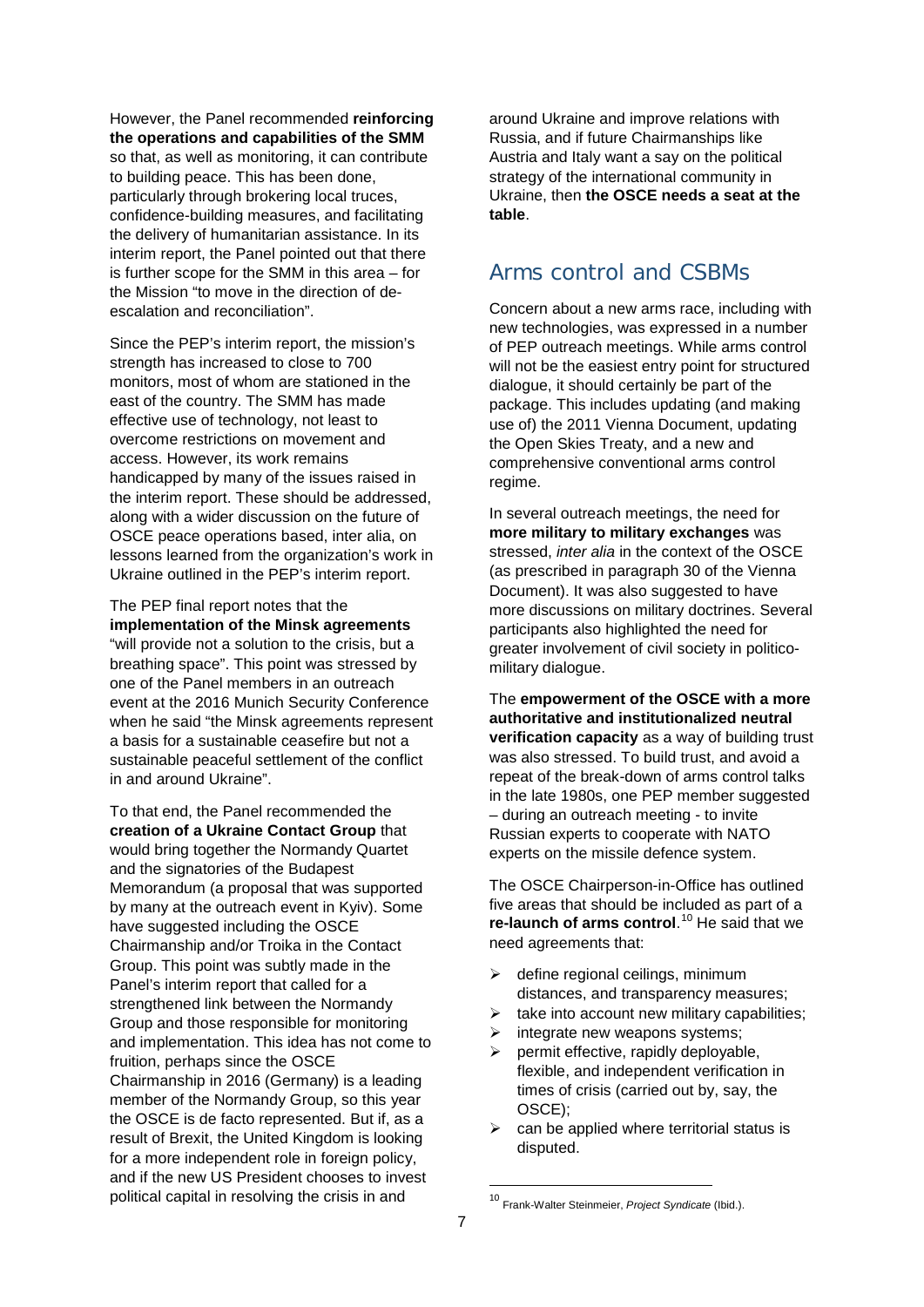However, the Panel recommended **reinforcing the operations and capabilities of the SMM** so that, as well as monitoring, it can contribute to building peace. This has been done, particularly through brokering local truces, confidence-building measures, and facilitating the delivery of humanitarian assistance. In its interim report, the Panel pointed out that there is further scope for the SMM in this area – for the Mission "to move in the direction of deescalation and reconciliation".

Since the PEP's interim report, the mission's strength has increased to close to 700 monitors, most of whom are stationed in the east of the country. The SMM has made effective use of technology, not least to overcome restrictions on movement and access. However, its work remains handicapped by many of the issues raised in the interim report. These should be addressed, along with a wider discussion on the future of OSCE peace operations based, inter alia, on lessons learned from the organization's work in Ukraine outlined in the PEP's interim report.

The PEP final report notes that the **implementation of the Minsk agreements** "will provide not a solution to the crisis, but a breathing space". This point was stressed by one of the Panel members in an outreach event at the 2016 Munich Security Conference when he said "the Minsk agreements represent a basis for a sustainable ceasefire but not a sustainable peaceful settlement of the conflict in and around Ukraine".

<span id="page-6-0"></span>To that end, the Panel recommended the **creation of a Ukraine Contact Group** that would bring together the Normandy Quartet and the signatories of the Budapest Memorandum (a proposal that was supported by many at the outreach event in Kyiv). Some have suggested including the OSCE Chairmanship and/or Troika in the Contact Group. This point was subtly made in the Panel's interim report that called for a strengthened link between the Normandy Group and those responsible for monitoring and implementation. This idea has not come to fruition, perhaps since the OSCE Chairmanship in 2016 (Germany) is a leading member of the Normandy Group, so this year the OSCE is de facto represented. But if, as a result of Brexit, the United Kingdom is looking for a more independent role in foreign policy, and if the new US President chooses to invest political capital in resolving the crisis in and

around Ukraine and improve relations with Russia, and if future Chairmanships like Austria and Italy want a say on the political strategy of the international community in Ukraine, then **the OSCE needs a seat at the table**.

## Arms control and CSBMs

Concern about a new arms race, including with new technologies, was expressed in a number of PEP outreach meetings. While arms control will not be the easiest entry point for structured dialogue, it should certainly be part of the package. This includes updating (and making use of) the 2011 Vienna Document, updating the Open Skies Treaty, and a new and comprehensive conventional arms control regime.

In several outreach meetings, the need for **more military to military exchanges** was stressed, *inter alia* in the context of the OSCE (as prescribed in paragraph 30 of the Vienna Document). It was also suggested to have more discussions on military doctrines. Several participants also highlighted the need for greater involvement of civil society in politicomilitary dialogue.

The **empowerment of the OSCE with a more authoritative and institutionalized neutral verification capacity** as a way of building trust was also stressed. To build trust, and avoid a repeat of the break-down of arms control talks in the late 1980s, one PEP member suggested – during an outreach meeting - to invite Russian experts to cooperate with NATO experts on the missile defence system.

The OSCE Chairperson-in-Office has outlined five areas that should be included as part of a re-launch of arms control.<sup>[10](#page-6-0)</sup> He said that we need agreements that:

- $\triangleright$  define regional ceilings, minimum distances, and transparency measures;
- $\triangleright$  take into account new military capabilities;
- $\triangleright$  integrate new weapons systems:
- $\triangleright$  permit effective, rapidly deployable, flexible, and independent verification in times of crisis (carried out by, say, the OSCE);
- can be applied where territorial status is disputed.

 <sup>10</sup> Frank-Walter Steinmeier, *Project Syndicate* (Ibid.).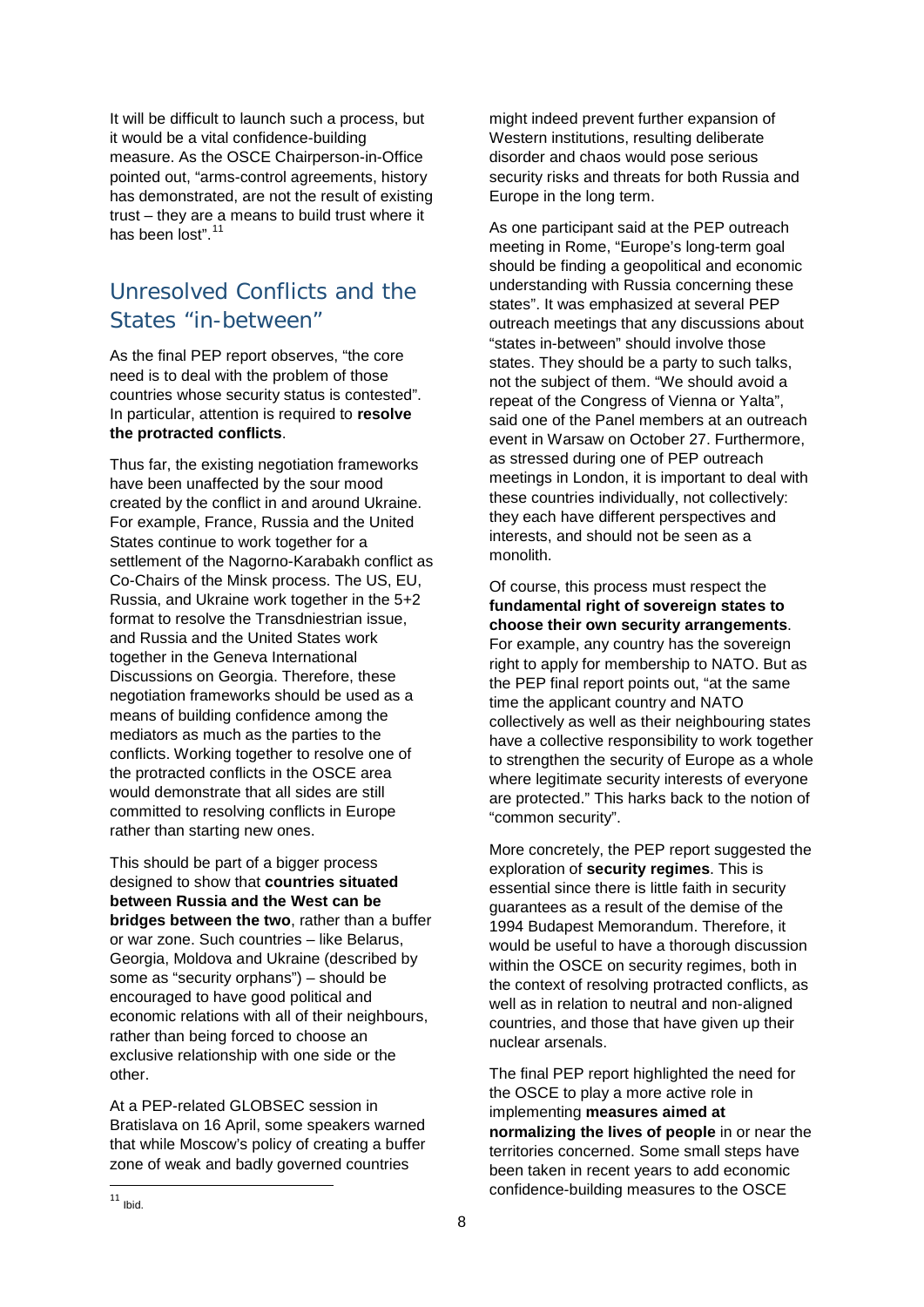It will be difficult to launch such a process, but it would be a vital confidence-building measure. As the OSCE Chairperson-in-Office pointed out, "arms-control agreements, history has demonstrated, are not the result of existing trust – they are a means to build trust where it has been lost".<sup>[11](#page-7-0)</sup>

## Unresolved Conflicts and the States "in-between"

As the final PEP report observes, "the core need is to deal with the problem of those countries whose security status is contested". In particular, attention is required to **resolve the protracted conflicts**.

Thus far, the existing negotiation frameworks have been unaffected by the sour mood created by the conflict in and around Ukraine. For example, France, Russia and the United States continue to work together for a settlement of the Nagorno-Karabakh conflict as Co-Chairs of the Minsk process. The US, EU, Russia, and Ukraine work together in the 5+2 format to resolve the Transdniestrian issue, and Russia and the United States work together in the Geneva International Discussions on Georgia. Therefore, these negotiation frameworks should be used as a means of building confidence among the mediators as much as the parties to the conflicts. Working together to resolve one of the protracted conflicts in the OSCE area would demonstrate that all sides are still committed to resolving conflicts in Europe rather than starting new ones.

This should be part of a bigger process designed to show that **countries situated between Russia and the West can be bridges between the two**, rather than a buffer or war zone. Such countries – like Belarus, Georgia, Moldova and Ukraine (described by some as "security orphans") – should be encouraged to have good political and economic relations with all of their neighbours, rather than being forced to choose an exclusive relationship with one side or the other.

<span id="page-7-0"></span>At a PEP-related GLOBSEC session in Bratislava on 16 April, some speakers warned that while Moscow's policy of creating a buffer zone of weak and badly governed countries

might indeed prevent further expansion of Western institutions, resulting deliberate disorder and chaos would pose serious security risks and threats for both Russia and Europe in the long term.

As one participant said at the PEP outreach meeting in Rome, "Europe's long-term goal should be finding a geopolitical and economic understanding with Russia concerning these states". It was emphasized at several PEP outreach meetings that any discussions about "states in-between" should involve those states. They should be a party to such talks, not the subject of them. "We should avoid a repeat of the Congress of Vienna or Yalta", said one of the Panel members at an outreach event in Warsaw on October 27. Furthermore, as stressed during one of PEP outreach meetings in London, it is important to deal with these countries individually, not collectively: they each have different perspectives and interests, and should not be seen as a monolith.

Of course, this process must respect the **fundamental right of sovereign states to choose their own security arrangements**. For example, any country has the sovereign right to apply for membership to NATO. But as the PEP final report points out, "at the same time the applicant country and NATO collectively as well as their neighbouring states have a collective responsibility to work together to strengthen the security of Europe as a whole where legitimate security interests of everyone are protected." This harks back to the notion of "common security".

More concretely, the PEP report suggested the exploration of **security regimes**. This is essential since there is little faith in security guarantees as a result of the demise of the 1994 Budapest Memorandum. Therefore, it would be useful to have a thorough discussion within the OSCE on security regimes, both in the context of resolving protracted conflicts, as well as in relation to neutral and non-aligned countries, and those that have given up their nuclear arsenals.

The final PEP report highlighted the need for the OSCE to play a more active role in implementing **measures aimed at normalizing the lives of people** in or near the territories concerned. Some small steps have been taken in recent years to add economic confidence-building measures to the OSCE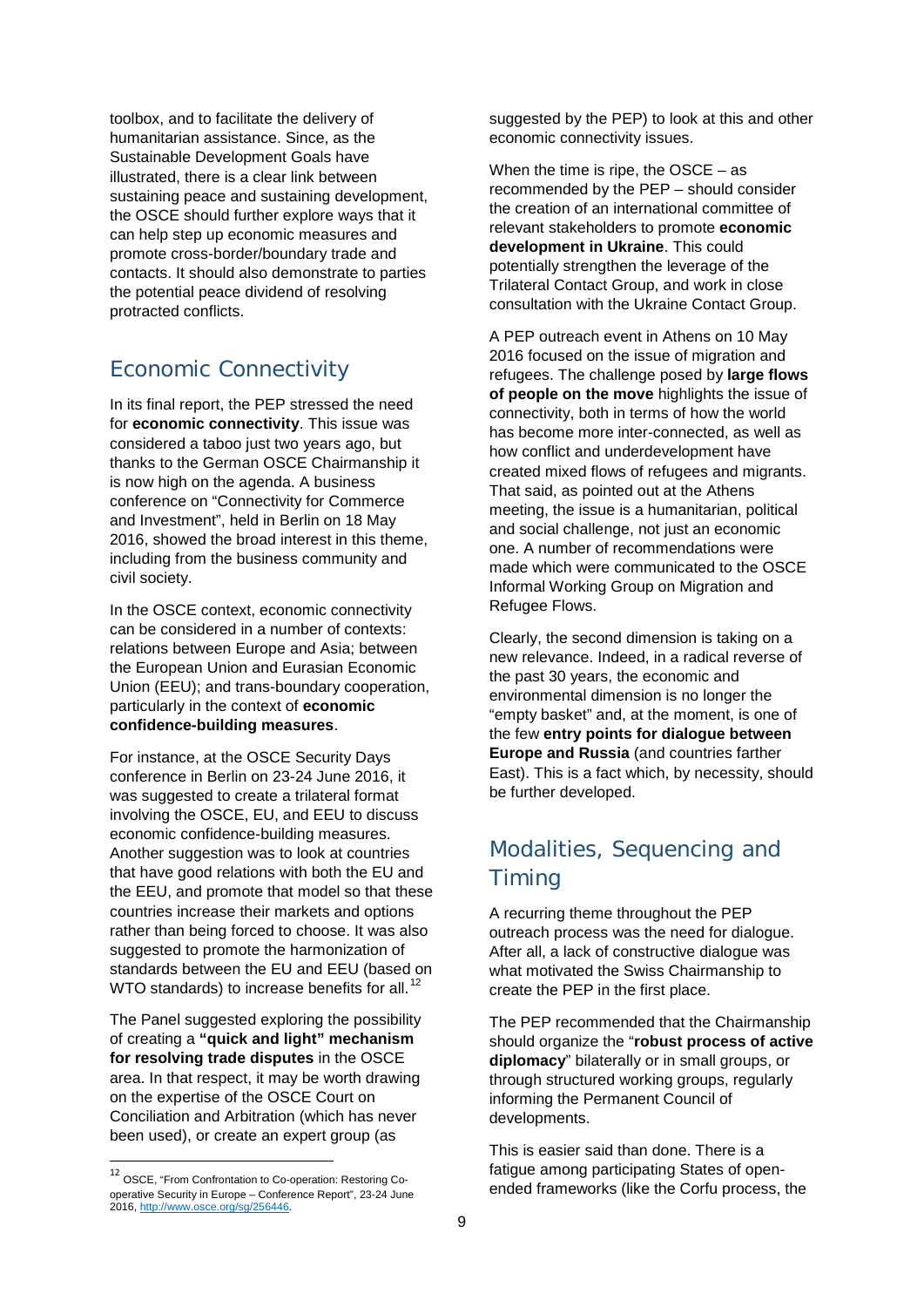toolbox, and to facilitate the delivery of humanitarian assistance. Since, as the Sustainable Development Goals have illustrated, there is a clear link between sustaining peace and sustaining development, the OSCE should further explore ways that it can help step up economic measures and promote cross-border/boundary trade and contacts. It should also demonstrate to parties the potential peace dividend of resolving protracted conflicts.

### Economic Connectivity

In its final report, the PEP stressed the need for **economic connectivity**. This issue was considered a taboo just two years ago, but thanks to the German OSCE Chairmanship it is now high on the agenda. A business conference on "Connectivity for Commerce and Investment", held in Berlin on 18 May 2016, showed the broad interest in this theme, including from the business community and civil society.

In the OSCE context, economic connectivity can be considered in a number of contexts: relations between Europe and Asia; between the European Union and Eurasian Economic Union (EEU); and trans-boundary cooperation, particularly in the context of **economic confidence-building measures**.

For instance, at the OSCE Security Days conference in Berlin on 23-24 June 2016, it was suggested to create a trilateral format involving the OSCE, EU, and EEU to discuss economic confidence-building measures. Another suggestion was to look at countries that have good relations with both the EU and the EEU, and promote that model so that these countries increase their markets and options rather than being forced to choose. It was also suggested to promote the harmonization of standards between the EU and EEU (based on WTO standards) to increase benefits for all.<sup>[12](#page-8-0)</sup>

The Panel suggested exploring the possibility of creating a **"quick and light" mechanism for resolving trade disputes** in the OSCE area. In that respect, it may be worth drawing on the expertise of the OSCE Court on Conciliation and Arbitration (which has never been used), or create an expert group (as

suggested by the PEP) to look at this and other economic connectivity issues.

When the time is ripe, the  $OSCE - as$ recommended by the PEP – should consider the creation of an international committee of relevant stakeholders to promote **economic development in Ukraine**. This could potentially strengthen the leverage of the Trilateral Contact Group, and work in close consultation with the Ukraine Contact Group.

A PEP outreach event in Athens on 10 May 2016 focused on the issue of migration and refugees. The challenge posed by **large flows of people on the move** highlights the issue of connectivity, both in terms of how the world has become more inter-connected, as well as how conflict and underdevelopment have created mixed flows of refugees and migrants. That said, as pointed out at the Athens meeting, the issue is a humanitarian, political and social challenge, not just an economic one. A number of recommendations were made which were communicated to the OSCE Informal Working Group on Migration and Refugee Flows.

Clearly, the second dimension is taking on a new relevance. Indeed, in a radical reverse of the past 30 years, the economic and environmental dimension is no longer the "empty basket" and, at the moment, is one of the few **entry points for dialogue between Europe and Russia** (and countries farther East). This is a fact which, by necessity, should be further developed.

# Modalities, Sequencing and Timing

A recurring theme throughout the PEP outreach process was the need for dialogue. After all, a lack of constructive dialogue was what motivated the Swiss Chairmanship to create the PEP in the first place.

The PEP recommended that the Chairmanship should organize the "**robust process of active diplomacy**" bilaterally or in small groups, or through structured working groups, regularly informing the Permanent Council of developments.

This is easier said than done. There is a fatigue among participating States of openended frameworks (like the Corfu process, the

<span id="page-8-0"></span> <sup>12</sup> OSCE, "From Confrontation to Co-operation: Restoring Cooperative Security in Europe – Conference Report", 23-24 June 2016[, http://www.osce.org/sg/256446.](http://www.osce.org/sg/256446)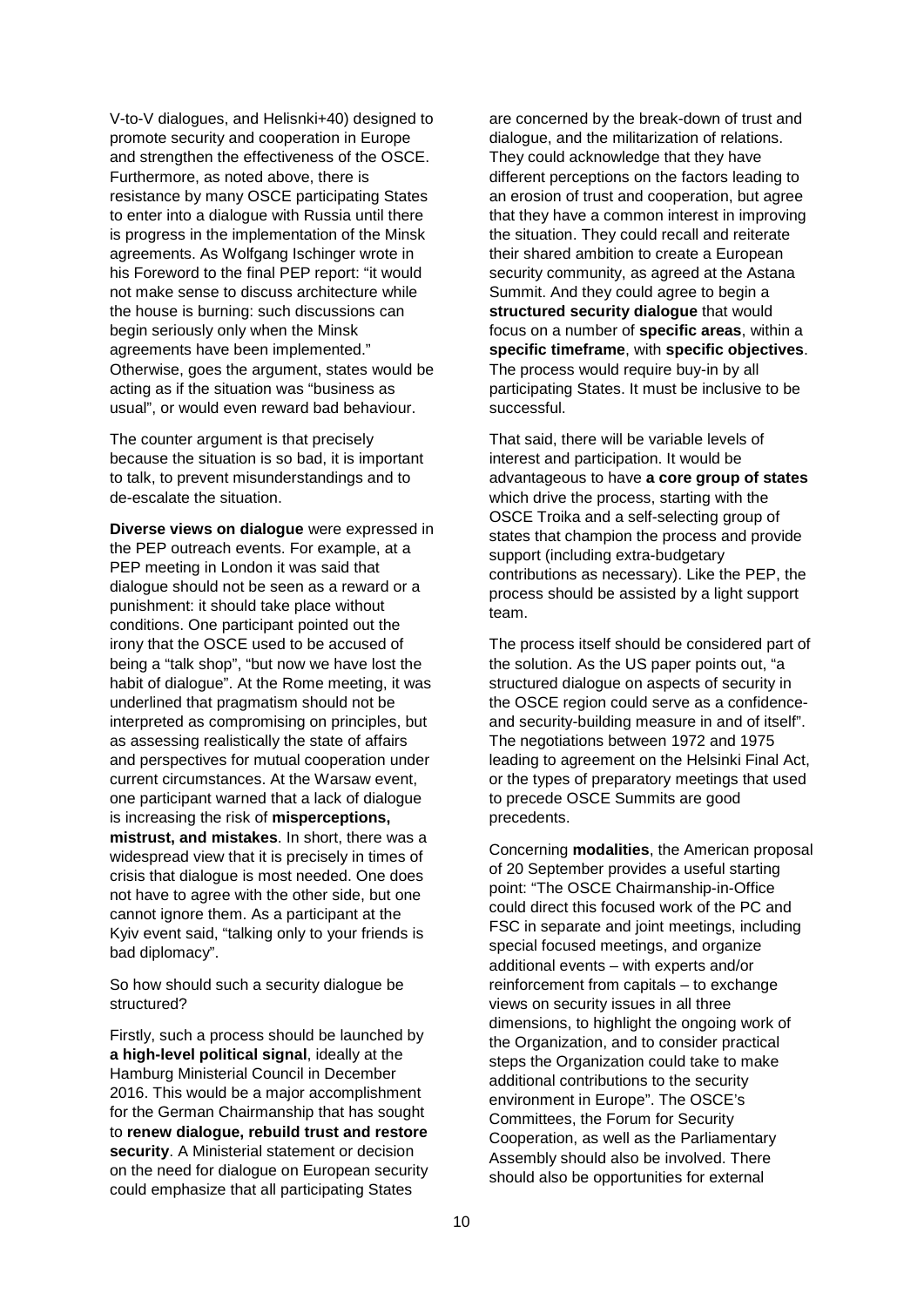V-to-V dialogues, and Helisnki+40) designed to promote security and cooperation in Europe and strengthen the effectiveness of the OSCE. Furthermore, as noted above, there is resistance by many OSCE participating States to enter into a dialogue with Russia until there is progress in the implementation of the Minsk agreements. As Wolfgang Ischinger wrote in his Foreword to the final PEP report: "it would not make sense to discuss architecture while the house is burning: such discussions can begin seriously only when the Minsk agreements have been implemented." Otherwise, goes the argument, states would be acting as if the situation was "business as usual", or would even reward bad behaviour.

The counter argument is that precisely because the situation is so bad, it is important to talk, to prevent misunderstandings and to de-escalate the situation.

**Diverse views on dialogue** were expressed in the PEP outreach events. For example, at a PEP meeting in London it was said that dialogue should not be seen as a reward or a punishment: it should take place without conditions. One participant pointed out the irony that the OSCE used to be accused of being a "talk shop", "but now we have lost the habit of dialogue". At the Rome meeting, it was underlined that pragmatism should not be interpreted as compromising on principles, but as assessing realistically the state of affairs and perspectives for mutual cooperation under current circumstances. At the Warsaw event, one participant warned that a lack of dialogue is increasing the risk of **misperceptions, mistrust, and mistakes**. In short, there was a widespread view that it is precisely in times of crisis that dialogue is most needed. One does not have to agree with the other side, but one cannot ignore them. As a participant at the Kyiv event said, "talking only to your friends is bad diplomacy".

So how should such a security dialogue be structured?

Firstly, such a process should be launched by **a high-level political signal**, ideally at the Hamburg Ministerial Council in December 2016. This would be a major accomplishment for the German Chairmanship that has sought to **renew dialogue, rebuild trust and restore security**. A Ministerial statement or decision on the need for dialogue on European security could emphasize that all participating States

are concerned by the break-down of trust and dialogue, and the militarization of relations. They could acknowledge that they have different perceptions on the factors leading to an erosion of trust and cooperation, but agree that they have a common interest in improving the situation. They could recall and reiterate their shared ambition to create a European security community, as agreed at the Astana Summit. And they could agree to begin a **structured security dialogue** that would focus on a number of **specific areas**, within a **specific timeframe**, with **specific objectives**. The process would require buy-in by all participating States. It must be inclusive to be successful.

That said, there will be variable levels of interest and participation. It would be advantageous to have **a core group of states** which drive the process, starting with the OSCE Troika and a self-selecting group of states that champion the process and provide support (including extra-budgetary contributions as necessary). Like the PEP, the process should be assisted by a light support team.

The process itself should be considered part of the solution. As the US paper points out, "a structured dialogue on aspects of security in the OSCE region could serve as a confidenceand security-building measure in and of itself". The negotiations between 1972 and 1975 leading to agreement on the Helsinki Final Act, or the types of preparatory meetings that used to precede OSCE Summits are good precedents.

Concerning **modalities**, the American proposal of 20 September provides a useful starting point: "The OSCE Chairmanship-in-Office could direct this focused work of the PC and FSC in separate and joint meetings, including special focused meetings, and organize additional events – with experts and/or reinforcement from capitals – to exchange views on security issues in all three dimensions, to highlight the ongoing work of the Organization, and to consider practical steps the Organization could take to make additional contributions to the security environment in Europe". The OSCE's Committees, the Forum for Security Cooperation, as well as the Parliamentary Assembly should also be involved. There should also be opportunities for external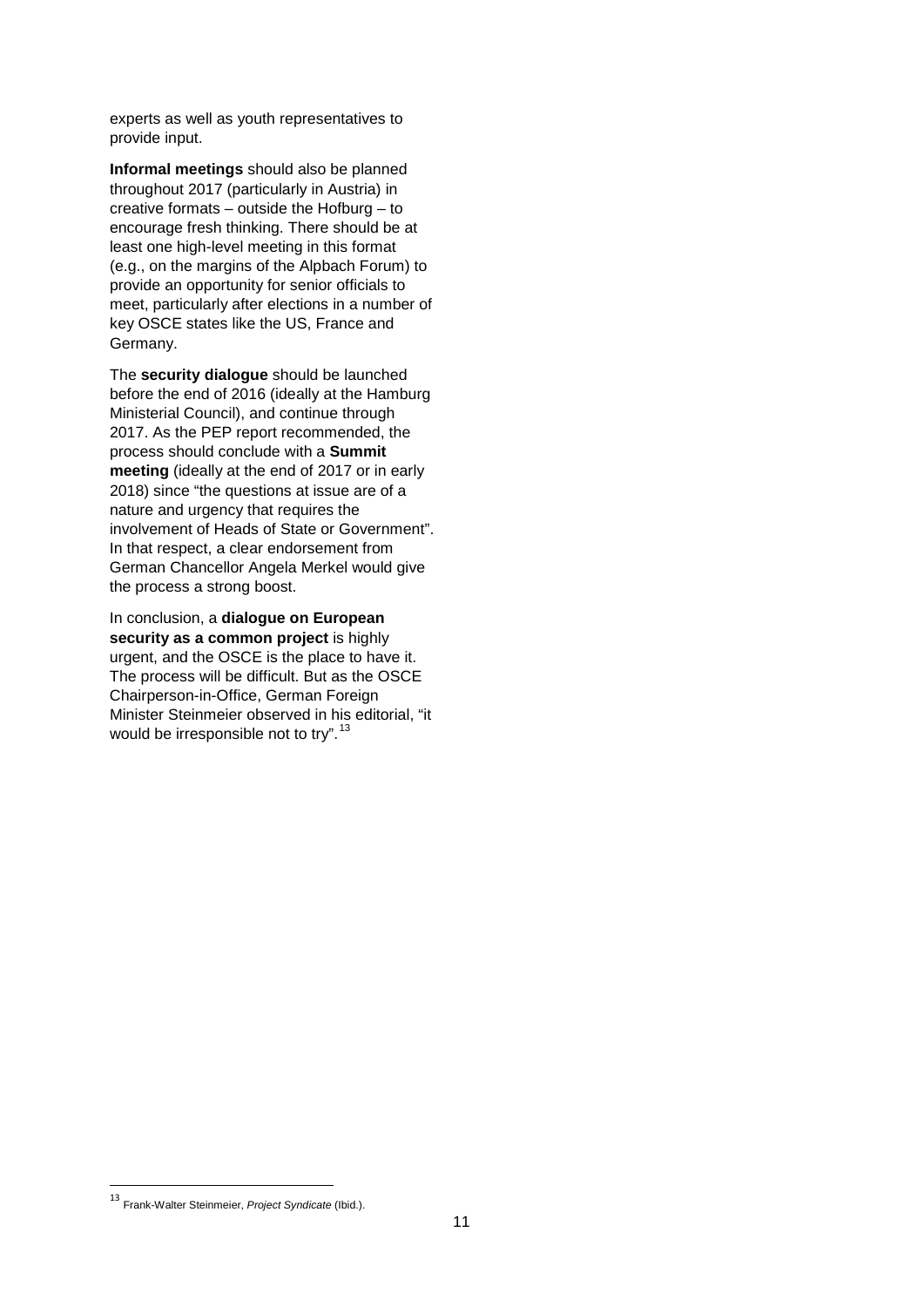experts as well as youth representatives to provide input.

**Informal meetings** should also be planned throughout 2017 (particularly in Austria) in creative formats – outside the Hofburg – to encourage fresh thinking. There should be at least one high-level meeting in this format (e.g., on the margins of the Alpbach Forum) to provide an opportunity for senior officials to meet, particularly after elections in a number of key OSCE states like the US, France and Germany.

The **security dialogue** should be launched before the end of 2016 (ideally at the Hamburg Ministerial Council), and continue through 2017. As the PEP report recommended, the process should conclude with a **Summit meeting** (ideally at the end of 2017 or in early 2018) since "the questions at issue are of a nature and urgency that requires the involvement of Heads of State or Government". In that respect, a clear endorsement from German Chancellor Angela Merkel would give the process a strong boost.

In conclusion, a **dialogue on European security as a common project** is highly urgent, and the OSCE is the place to have it. The process will be difficult. But as the OSCE Chairperson-in-Office, German Foreign Minister Steinmeier observed in his editorial, "it would be irresponsible not to try".<sup>[13](#page-10-0)</sup>

<span id="page-10-0"></span> <sup>13</sup> Frank-Walter Steinmeier, *Project Syndicate* (Ibid.).